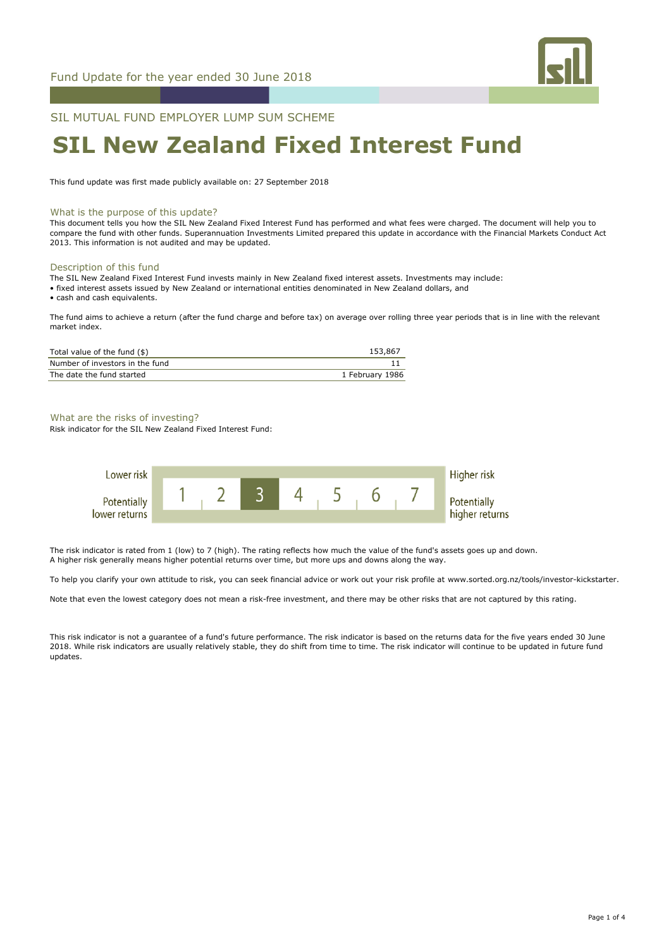

SIL MUTUAL FUND EMPLOYER LUMP SUM SCHEME

# **SIL New Zealand Fixed Interest Fund**

This fund update was first made publicly available on: 27 September 2018

#### What is the purpose of this update?

This document tells you how the SIL New Zealand Fixed Interest Fund has performed and what fees were charged. The document will help you to compare the fund with other funds. Superannuation Investments Limited prepared this update in accordance with the Financial Markets Conduct Act 2013. This information is not audited and may be updated.

# Description of this fund

The SIL New Zealand Fixed Interest Fund invests mainly in New Zealand fixed interest assets. Investments may include:

• fixed interest assets issued by New Zealand or international entities denominated in New Zealand dollars, and

• cash and cash equivalents.

The fund aims to achieve a return (after the fund charge and before tax) on average over rolling three year periods that is in line with the relevant market index.

| Total value of the fund (\$)    | 153,867         |
|---------------------------------|-----------------|
| Number of investors in the fund |                 |
| The date the fund started       | 1 February 1986 |

#### What are the risks of investing?

Risk indicator for the SIL New Zealand Fixed Interest Fund:



The risk indicator is rated from 1 (low) to 7 (high). The rating reflects how much the value of the fund's assets goes up and down. A higher risk generally means higher potential returns over time, but more ups and downs along the way.

To help you clarify your own attitude to risk, you can seek financial advice or work out your risk profile at www.sorted.org.nz/tools/investor-kickstarter.

Note that even the lowest category does not mean a risk-free investment, and there may be other risks that are not captured by this rating.

This risk indicator is not a guarantee of a fund's future performance. The risk indicator is based on the returns data for the five years ended 30 June 2018. While risk indicators are usually relatively stable, they do shift from time to time. The risk indicator will continue to be updated in future fund updates.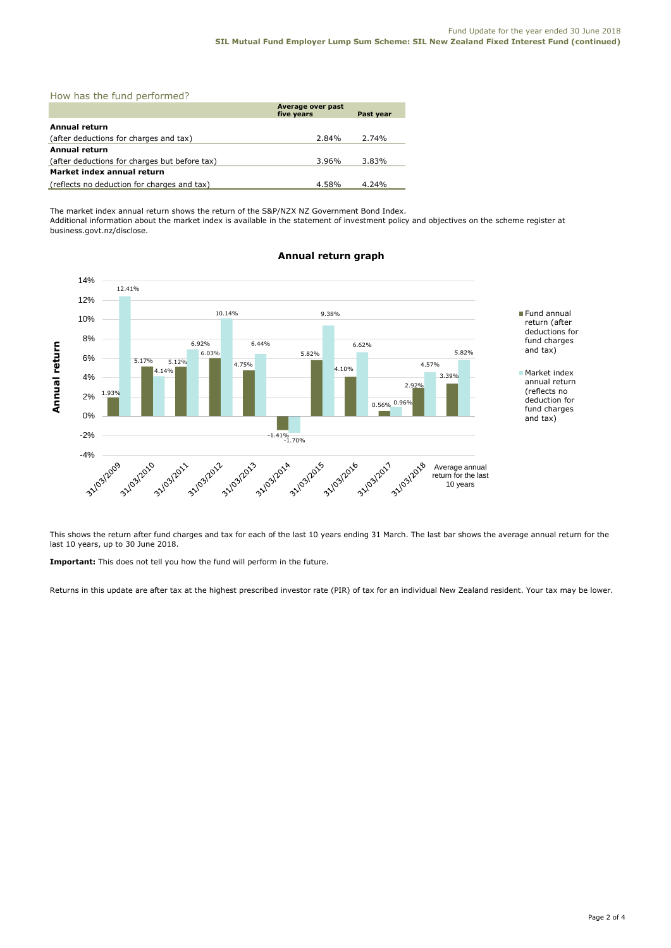|  |  |  |  |  | How has the fund performed? |
|--|--|--|--|--|-----------------------------|
|--|--|--|--|--|-----------------------------|

|                                               | Average over past<br>five years | Past year |
|-----------------------------------------------|---------------------------------|-----------|
| Annual return                                 |                                 |           |
| (after deductions for charges and tax)        | 2.84%                           | 2.74%     |
| <b>Annual return</b>                          |                                 |           |
| (after deductions for charges but before tax) | 3.96%                           | 3.83%     |
| Market index annual return                    |                                 |           |
| (reflects no deduction for charges and tax)   | 4.58%                           | $4.24\%$  |

The market index annual return shows the return of the S&P/NZX NZ Government Bond Index. Additional information about the market index is available in the statement of investment policy and objectives on the scheme register at business.govt.nz/disclose.



# **Annual return graph**

This shows the return after fund charges and tax for each of the last 10 years ending 31 March. The last bar shows the average annual return for the last 10 years, up to 30 June 2018.

**Important:** This does not tell you how the fund will perform in the future.

Returns in this update are after tax at the highest prescribed investor rate (PIR) of tax for an individual New Zealand resident. Your tax may be lower.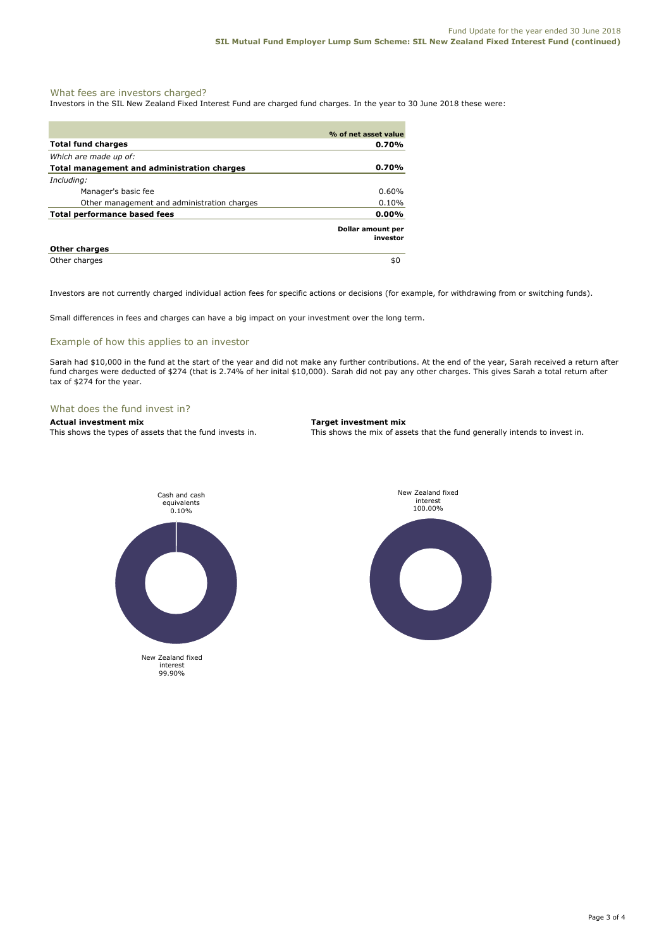# What fees are investors charged?

Investors in the SIL New Zealand Fixed Interest Fund are charged fund charges. In the year to 30 June 2018 these were:

|                                             | % of net asset value          |
|---------------------------------------------|-------------------------------|
| <b>Total fund charges</b>                   | $0.70\%$                      |
| Which are made up of:                       |                               |
| Total management and administration charges | 0.70%                         |
| Including:                                  |                               |
| Manager's basic fee                         | $0.60\%$                      |
| Other management and administration charges | 0.10%                         |
| Total performance based fees                | $0.00\%$                      |
|                                             | Dollar amount per<br>investor |
| <b>Other charges</b>                        |                               |
| Other charges                               | \$0                           |

Investors are not currently charged individual action fees for specific actions or decisions (for example, for withdrawing from or switching funds).

Small differences in fees and charges can have a big impact on your investment over the long term.

## Example of how this applies to an investor

Sarah had \$10,000 in the fund at the start of the year and did not make any further contributions. At the end of the year, Sarah received a return after fund charges were deducted of \$274 (that is 2.74% of her inital \$10,000). Sarah did not pay any other charges. This gives Sarah a total return after tax of \$274 for the year.

#### What does the fund invest in?

### **Actual investment mix Target investment mix**

This shows the types of assets that the fund invests in. This shows the mix of assets that the fund generally intends to invest in.